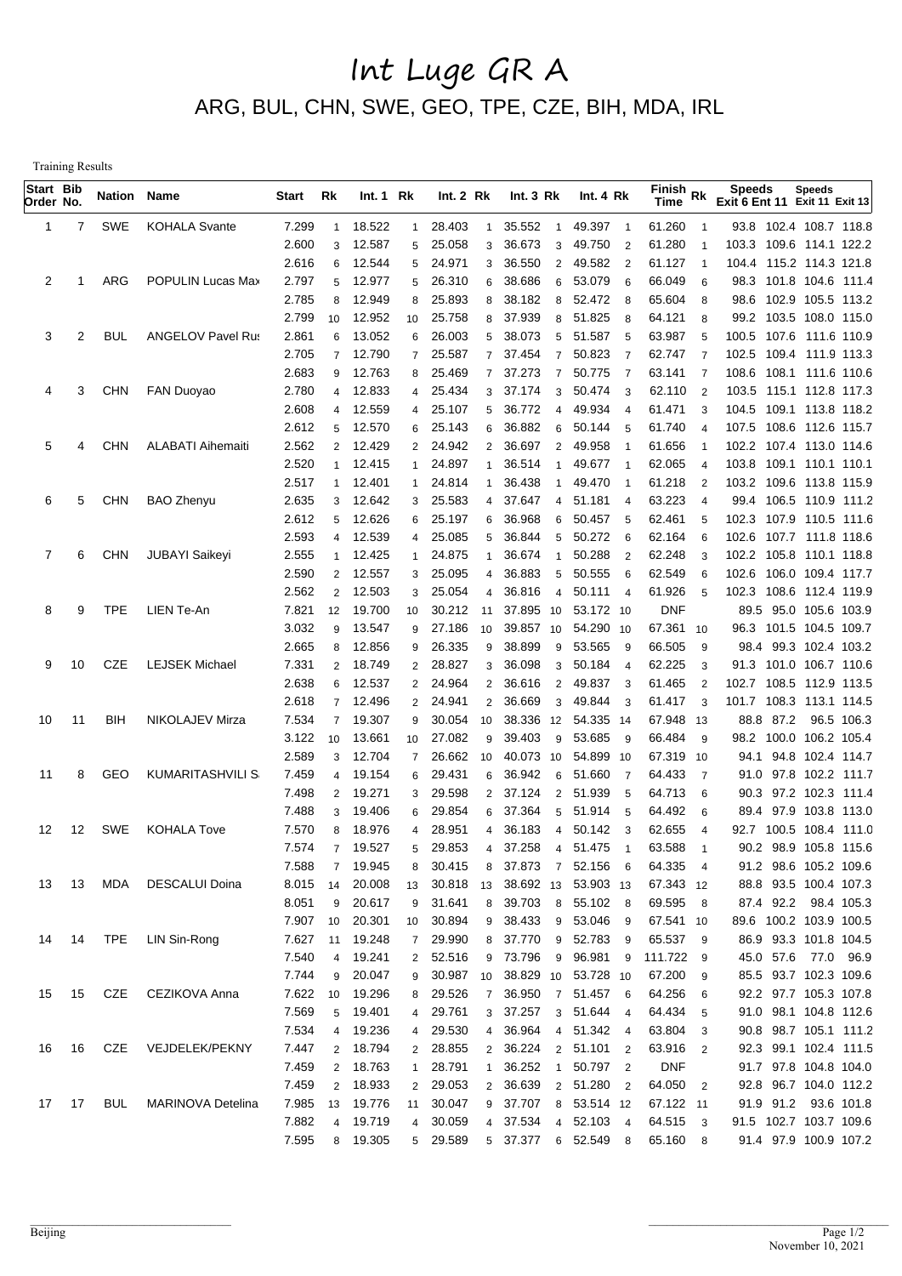## Int Luge GR A ARG, BUL, CHN, SWE, GEO, TPE, CZE, BIH, MDA, IRL

Training Results

| Start Bib<br>Order No. |       | <b>Nation Name</b> |                          | Start          | Rk                  | Int.1 Rk         |                                | Int.2 Rk         |                                | Int. $3 \, Rk$                  |                  | Int. 4 Rk                  | $\overline{\mathsf{Fin}}$ ish Rk<br>Time |                     | <b>Speeds</b><br>Exit 6 Ent 11 Exit 11 Exit 13 |      | <b>Speeds</b>         |            |
|------------------------|-------|--------------------|--------------------------|----------------|---------------------|------------------|--------------------------------|------------------|--------------------------------|---------------------------------|------------------|----------------------------|------------------------------------------|---------------------|------------------------------------------------|------|-----------------------|------------|
| 1                      | 7     | SWE                | <b>KOHALA Svante</b>     | 7.299          | $\mathbf{1}$        | 18.522           | $\mathbf{1}$                   | 28.403           | $\overline{1}$                 | 35.552<br>$\overline{1}$        |                  | 49.397 1                   | 61.260                                   |                     | 93.8 102.4 108.7 118.8                         |      |                       |            |
|                        |       |                    |                          | 2.600          | 3                   | 12.587           | 5                              | 25.058           | 3                              | 36.673<br>3                     | 49.750           | $\overline{2}$             | 61.280                                   |                     | 103.3 109.6 114.1 122.2                        |      |                       |            |
|                        |       |                    |                          | 2.616          | 6                   | 12.544           | 5                              | 24.971           | 3                              | 36.550<br>$\overline{2}$        | 49.582           | $\overline{\phantom{0}}^2$ | 61.127                                   | $\overline{1}$      | 104.4 115.2 114.3 121.8                        |      |                       |            |
| 2                      |       | ARG                | POPULIN Lucas Max        | 2.797          | 5                   | 12.977           | 5                              | 26.310           | 6                              | 38.686<br>6                     | 53.079           | - 6                        | 66.049                                   | 6                   | 98.3 101.8 104.6 111.4                         |      |                       |            |
|                        |       |                    |                          | 2.785          | 8                   | 12.949           | 8                              | 25.893           | 8                              | 38.182<br>8                     |                  | 52.472 8                   | 65.604                                   | 8                   | 98.6 102.9 105.5 113.2                         |      |                       |            |
|                        |       |                    |                          | 2.799          | 10                  | 12.952           | 10                             | 25.758           | 8                              | 37.939<br>8                     | 51.825           | - 8                        | 64.121                                   | 8                   | 99.2 103.5 108.0 115.0                         |      |                       |            |
| 3                      | 2     | <b>BUL</b>         | <b>ANGELOV Pavel Rus</b> | 2.861          | 6                   | 13.052           | 6                              | 26.003           | 5                              | 38.073<br>5                     | 51.587           | - 5                        | 63.987                                   | 5                   | 100.5 107.6 111.6 110.9                        |      |                       |            |
|                        |       |                    |                          | 2.705          | $\overline{7}$      | 12.790           | $\overline{7}$                 | 25.587           | $\overline{7}$                 | 37.454<br>$\overline{7}$        | 50.823           | - 7                        | 62.747                                   | $\overline{7}$      | 102.5 109.4 111.9 113.3                        |      |                       |            |
|                        |       |                    |                          | 2.683          | 9                   | 12.763           | 8                              | 25.469           | $\overline{7}$                 | 37.273<br>$\overline{7}$        | 50.775           | $\overline{7}$             | 63.141                                   | -7                  | 108.6 108.1 111.6 110.6                        |      |                       |            |
| 4                      | 3     | <b>CHN</b>         | <b>FAN Duoyao</b>        | 2.780          | 4                   | 12.833           | 4                              | 25.434           | 3                              | 37.174<br>3                     |                  | 50.474 3                   | 62.110                                   | $\overline{2}$      | 103.5 115.1 112.8 117.3                        |      |                       |            |
|                        |       |                    |                          | 2.608          | $\overline{4}$      | 12.559           | $\overline{4}$                 | 25.107           | 5                              | 36.772<br>$\overline{4}$        | 49.934           | $\overline{4}$             | 61.471                                   | 3                   | 104.5 109.1 113.8 118.2                        |      |                       |            |
|                        |       |                    |                          | 2.612          | 5                   | 12.570           | 6                              | 25.143           | 6                              | 36.882<br>6                     | 50.144           | - 5                        | 61.740                                   | $\overline{4}$      | 107.5 108.6 112.6 115.7                        |      |                       |            |
| 5                      | 4     | <b>CHN</b>         | <b>ALABATI Aihemaiti</b> | 2.562          | $\overline{2}$      | 12.429           | $\mathbf{2}$                   | 24.942           | $\overline{2}$                 | 36.697<br>$\overline{2}$        | 49.958           | -1                         | 61.656                                   |                     | 102.2 107.4 113.0 114.6                        |      |                       |            |
|                        |       |                    |                          | 2.520          | 1                   | 12.415           | $\mathbf{1}$                   | 24.897           | $\mathbf{1}$                   | 36.514<br>$\overline{1}$        | 49.677           | $\overline{1}$             | 62.065                                   | $\overline{4}$      | 103.8 109.1 110.1 110.1                        |      |                       |            |
|                        |       |                    |                          | 2.517          | 1                   | 12.401           | 1                              | 24.814           | $\mathbf 1$                    | 36.438<br>$\mathbf 1$           | 49.470           |                            | 61.218                                   | $\overline{2}$      | 103.2 109.6 113.8 115.9                        |      |                       |            |
| 6                      | 5     | <b>CHN</b>         | <b>BAO Zhenyu</b>        | 2.635          | 3                   | 12.642           | 3                              | 25.583           | 4                              | 37.647<br>4                     | 51.181           | $\overline{4}$             | 63.223                                   | $\overline{4}$      | 99.4 106.5 110.9 111.2                         |      |                       |            |
|                        |       |                    |                          | 2.612          | 5                   | 12.626           | 6                              | 25.197           | 6                              | 36.968<br>6                     | 50.457           | 5                          | 62.461                                   | 5                   | 102.3 107.9 110.5 111.6                        |      |                       |            |
|                        |       |                    |                          | 2.593          | $\overline{4}$      | 12.539           | $\overline{4}$                 | 25.085           | 5                              | 36.844<br>5                     | 50.272           | - 6                        | 62.164                                   | 6                   | 102.6 107.7 111.8 118.6                        |      |                       |            |
| 7                      | 6     | <b>CHN</b>         | <b>JUBAYI Saikeyi</b>    | 2.555          | $\mathbf 1$         | 12.425           | $\mathbf{1}$                   | 24.875           | $\mathbf{1}$                   | 36.674<br>-1                    | 50.288           | $\overline{2}$             | 62.248                                   | 3                   | 102.2 105.8 110.1 118.8                        |      |                       |            |
|                        |       |                    |                          | 2.590          | $\overline{2}$      | 12.557           | 3                              | 25.095           | 4                              | 36.883<br>5                     | 50.555           | 6                          | 62.549                                   | 6                   | 102.6 106.0 109.4 117.7                        |      |                       |            |
|                        |       |                    |                          | 2.562          | $\overline{c}$      | 12.503           | 3                              | 25.054           | 4                              | 36.816<br>4                     | 50.111           | $\overline{4}$             | 61.926                                   | 5                   | 102.3 108.6                                    |      | 112.4 119.9           |            |
| 8                      | 9     | <b>TPE</b>         | LIEN Te-An               | 7.821          | 12                  | 19.700           | 10                             | 30.212           | 11                             | 37.895<br>10                    |                  | 53.172 10                  | <b>DNF</b>                               |                     |                                                |      | 89.5 95.0 105.6 103.9 |            |
|                        |       |                    |                          | 3.032          | 9                   | 13.547           | 9                              | 27.186           | 10                             | 39.857<br>10                    |                  | 54.290 10                  | 67.361                                   | 10                  | 96.3 101.5 104.5 109.7                         |      |                       |            |
|                        | 10    | CZE                | <b>LEJSEK Michael</b>    | 2.665          | 8                   | 12.856<br>18.749 | 9                              | 26.335<br>28.827 | 9                              | 38.899<br>9<br>36.098           | 53.565<br>50.184 | - 9                        | 66.505                                   | 9                   | 91.3 101.0 106.7 110.6                         |      | 98.4 99.3 102.4 103.2 |            |
| 9                      |       |                    |                          | 7.331<br>2.638 | $\overline{2}$<br>6 | 12.537           | $\overline{2}$<br>$\mathbf{2}$ | 24.964           | $\mathbf{3}$<br>$\overline{2}$ | 3<br>36.616<br>$\overline{2}$   | 49.837           | $\overline{4}$<br>-3       | 62.225<br>61.465                         | 3<br>$\overline{2}$ | 102.7 108.5                                    |      | 112.9 113.5           |            |
|                        |       |                    |                          | 2.618          | $\overline{7}$      | 12.496           | $\overline{2}$                 | 24.941           | $\overline{2}$                 | 36.669<br>3                     | 49.844           | -3                         | 61.417                                   | 3                   | 101.7 108.3                                    |      | 113.1 114.5           |            |
| 10                     | 11    | BIH                | NIKOLAJEV Mirza          | 7.534          | $\overline{7}$      | 19.307           | 9                              | 30.054           | 10                             | 38.336<br>12                    |                  | 54.335 14                  | 67.948 13                                |                     | 88.8 87.2                                      |      |                       | 96.5 106.3 |
|                        |       |                    |                          | 3.122          | 10                  | 13.661           | 10                             | 27.082           | 9                              | 39.403<br>9                     | 53.685           | - 9                        | 66.484                                   | 9                   | 98.2 100.0                                     |      | 106.2 105.4           |            |
|                        |       |                    |                          | 2.589          | 3                   | 12.704           | $\overline{7}$                 | 26.662           | 10                             | 40.073<br>10                    | 54.899           | -10                        | 67.319 10                                |                     | 94.1                                           |      | 94.8 102.4 114.7      |            |
| 11                     | 8     | GEO                | <b>KUMARITASHVILI S</b>  | 7.459          | 4                   | 19.154           | 6                              | 29.431           | 6                              | 36.942<br>6                     | 51.660           | -7                         | 64.433                                   | $\overline{7}$      | 91.0                                           |      | 97.8 102.2 111.7      |            |
|                        |       |                    |                          | 7.498          | $\overline{2}$      | 19.271           | 3                              | 29.598           | $\overline{2}$                 | 37.124<br>2                     | 51.939           | - 5                        | 64.713                                   | 6                   | 90.3                                           |      | 97.2 102.3 111.4      |            |
|                        |       |                    |                          | 7.488          | 3                   | 19.406           | 6                              | 29.854           | 6                              | 37.364<br>5                     | 51.914           | - 5                        | 64.492                                   | 6                   | 89.4                                           | 97.9 | 103.8 113.0           |            |
| 12                     | 12    | <b>SWE</b>         | <b>KOHALA Tove</b>       | 7.570          | 8                   | 18.976           | 4                              | 28.951           | 4                              | 36.183<br>4                     | 50.142           | -3                         | 62.655                                   | 4                   | 92.7 100.5                                     |      | 108.4 111.0           |            |
|                        |       |                    |                          | 7.574          | $\overline{7}$      | 19.527           | 5                              | 29.853           |                                | 4 37.258                        | 4 51.475         | $\overline{1}$             | 63.588                                   | $\overline{1}$      |                                                |      | 90.2 98.9 105.8 115.6 |            |
|                        |       |                    |                          | 7.588          | $\overline{7}$      | 19.945           | 8                              | 30.415           | 8                              | 37.873 7 52.156 6               |                  |                            | 64.335 4                                 |                     |                                                |      | 91.2 98.6 105.2 109.6 |            |
|                        | 13 13 | MDA                | <b>DESCALUI Doina</b>    | 8.015          | 14                  | 20.008           | 13                             |                  |                                | 30.818 13 38.692 13 53.903 13   |                  |                            | 67.343 12                                |                     | 88.8 93.5 100.4 107.3                          |      |                       |            |
|                        |       |                    |                          | 8.051          | 9                   | 20.617           |                                | 9 31.641         |                                | 8 39.703 8 55.102 8             |                  |                            | 69.595 8                                 |                     |                                                |      | 87.4 92.2 98.4 105.3  |            |
|                        |       |                    |                          | 7.907          | 10                  | 20.301           | 10                             | 30.894           |                                | 9 38.433 9 53.046 9             |                  |                            | 67.541 10                                |                     | 89.6 100.2 103.9 100.5                         |      |                       |            |
| 14                     | 14    |                    | TPE LIN Sin-Rong         | 7.627          |                     | 11 19.248        |                                | 7 29.990         |                                | 8 37.770 9 52.783 9             |                  |                            | 65.537 9                                 |                     |                                                |      | 86.9 93.3 101.8 104.5 |            |
|                        |       |                    |                          | 7.540          | $\overline{4}$      | 19.241           |                                | 2 52.516         |                                | 9 73.796 9 96.981 9             |                  |                            | 111.722 9                                |                     |                                                |      | 45.0 57.6 77.0 96.9   |            |
|                        |       |                    |                          | 7.744          | 9                   | 20.047           |                                |                  |                                | 9 30.987 10 38.829 10 53.728 10 |                  |                            | 67.200 9                                 |                     |                                                |      | 85.5 93.7 102.3 109.6 |            |
| 15                     | 15    | CZE                | CEZIKOVA Anna            | 7.622          | 10 <sup>1</sup>     | 19.296           |                                | 8 29.526         |                                | 7 36.950 7 51.457 6             |                  |                            | 64.256 6                                 |                     |                                                |      | 92.2 97.7 105.3 107.8 |            |
|                        |       |                    |                          | 7.569          | 5                   | 19.401           |                                | 4 29.761         |                                | 3 37.257 3 51.644 4             |                  |                            | 64.434 5                                 |                     |                                                |      | 91.0 98.1 104.8 112.6 |            |
|                        |       |                    |                          | 7.534          | $\overline{4}$      | 19.236           | 4                              | 29.530           |                                | 4 36.964 4 51.342 4             |                  |                            | 63.804 3                                 |                     |                                                |      | 90.8 98.7 105.1 111.2 |            |
| 16                     | 16    | CZE                | VEJDELEK/PEKNY           | 7.447          | $\overline{2}$      | 18.794           |                                | 2 28.855         |                                | 2 36.224 2 51.101 2             |                  |                            | 63.916 2                                 |                     |                                                |      | 92.3 99.1 102.4 111.5 |            |
|                        |       |                    |                          | 7.459          | $\overline{2}$      | 18.763           | 1                              | 28.791           | $\mathbf{1}$                   | 36.252 1 50.797 2               |                  |                            | <b>DNF</b>                               |                     |                                                |      | 91.7 97.8 104.8 104.0 |            |
|                        |       |                    |                          | 7.459          | $\overline{2}$      | 18.933           |                                | 2 29.053         |                                | 2 36.639                        | 2 51.280 2       |                            | 64.050 2                                 |                     |                                                |      | 92.8 96.7 104.0 112.2 |            |
|                        | 17 17 | BUL                | MARINOVA Detelina        | 7.985          | 13                  | 19.776           | 11                             | 30.047           |                                | 9 37.707 8 53.514 12            |                  |                            | 67.122 11                                |                     |                                                |      | 91.9 91.2 93.6 101.8  |            |
|                        |       |                    |                          | 7.882          | $\overline{4}$      | 19.719           | $\overline{4}$                 | 30.059           |                                | 4 37.534                        | 4 52.103 4       |                            | 64.515 3                                 |                     | 91.5 102.7 103.7 109.6                         |      |                       |            |
|                        |       |                    |                          | 7.595          |                     | 8 19.305         |                                | 5 29.589         |                                | 5 37.377 6 52.549 8             |                  |                            | 65.160 8                                 |                     |                                                |      | 91.4 97.9 100.9 107.2 |            |